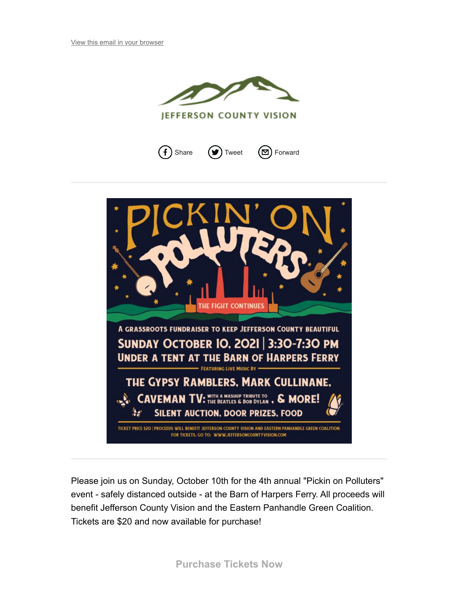

**JEFFERSON COUNTY VISION** 







Please join us on Sunday, October 10th for the 4th annual "Pickin on Polluters" event - safely distanced outside - at the Barn of Harpers Ferry. All proceeds will benefit Jefferson County Vision and the Eastern Panhandle Green Coalition. Tickets are \$20 and now available for purchase!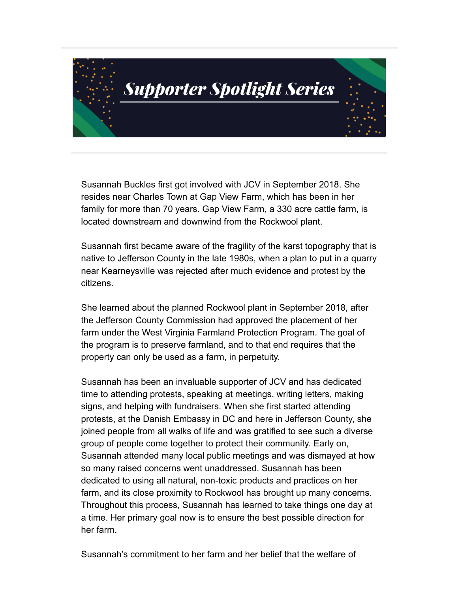

Susannah Buckles first got involved with JCV in September 2018. She resides near Charles Town at Gap View Farm, which has been in her family for more than 70 years. Gap View Farm, a 330 acre cattle farm, is located downstream and downwind from the Rockwool plant.

Susannah first became aware of the fragility of the karst topography that is native to Jefferson County in the late 1980s, when a plan to put in a quarry near Kearneysville was rejected after much evidence and protest by the citizens.

She learned about the planned Rockwool plant in September 2018, after the Jefferson County Commission had approved the placement of her farm under the West Virginia Farmland Protection Program. The goal of the program is to preserve farmland, and to that end requires that the property can only be used as a farm, in perpetuity.

Susannah has been an invaluable supporter of JCV and has dedicated time to attending protests, speaking at meetings, writing letters, making signs, and helping with fundraisers. When she first started attending protests, at the Danish Embassy in DC and here in Jefferson County, she joined people from all walks of life and was gratified to see such a diverse group of people come together to protect their community. Early on, Susannah attended many local public meetings and was dismayed at how so many raised concerns went unaddressed. Susannah has been dedicated to using all natural, non-toxic products and practices on her farm, and its close proximity to Rockwool has brought up many concerns. Throughout this process, Susannah has learned to take things one day at a time. Her primary goal now is to ensure the best possible direction for her farm.

Susannah's commitment to her farm and her belief that the welfare of